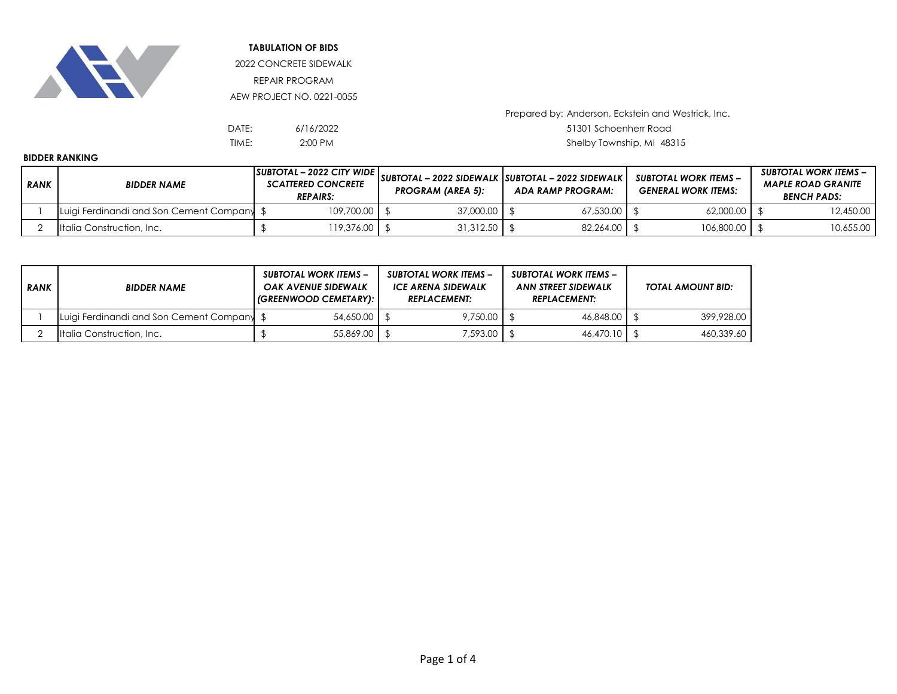

**TABULATION OF BIDS**

2022 CONCRETE SIDEWALK REPAIR PROGRAM AEW PROJECT NO. 0221-0055

| DATE: | 6/16/2022 | 51301 Schoenherr Road   |
|-------|-----------|-------------------------|
| TIME: | $2:00$ PM | Shelby Township, MI 483 |

Prepared by: Anderson, Eckstein and Westrick, Inc.

Shelby Township, MI 48315

## **BIDDER RANKING**

| <b>RANK</b> | <b>BIDDER NAME</b>                         | $ SUBTOTAL - 2022$ CITY WIDE $ $<br><b>SCATTERED CONCRETE</b><br><b>REPAIRS:</b> | <b>PROGRAM (AREA 5):</b> | SUBTOTAL - 2022 SIDEWALK SUBTOTAL - 2022 SIDEWALK  <br>ADA RAMP PROGRAM: |           | SUBTOTAL WORK ITEMS –<br><b>GENERAL WORK ITEMS:</b> |            | SUBTOTAL WORK ITEMS –<br><b>MAPLE ROAD GRANITE</b><br><b>BENCH PADS:</b> |           |
|-------------|--------------------------------------------|----------------------------------------------------------------------------------|--------------------------|--------------------------------------------------------------------------|-----------|-----------------------------------------------------|------------|--------------------------------------------------------------------------|-----------|
|             | Luigi Ferdinandi and Son Cement Company \$ | 109,700.00                                                                       | 37,000.00   \$           |                                                                          | 67,530.00 |                                                     | 62,000.00  |                                                                          | 12,450.00 |
|             | Italia Construction, Inc.                  | 119,376.00                                                                       | 31,312.50                |                                                                          | 82.264.00 |                                                     | 106,800,00 |                                                                          | 10,655.00 |

| <b>RANK</b> | <b>BIDDER NAME</b>                      | <b>SUBTOTAL WORK ITEMS –</b><br>OAK AVENUE SIDEWALK<br>  (GREENWOOD CEMETARY): |           | <b>SUBTOTAL WORK ITEMS -</b><br>ICE ARENA SIDEWALK<br><b>REPLACEMENT:</b> |  | <b>SUBTOTAL WORK ITEMS -</b><br><b>ANN STREET SIDEWALK</b><br><b>REPLACEMENT:</b> |  | TOTAL AMOUNT BID: |  |
|-------------|-----------------------------------------|--------------------------------------------------------------------------------|-----------|---------------------------------------------------------------------------|--|-----------------------------------------------------------------------------------|--|-------------------|--|
|             | Luigi Ferdinandi and Son Cement Company |                                                                                | 54,650.00 | 9,750.00                                                                  |  | 46.848.00 \$                                                                      |  | 399,928.00        |  |
|             | Italia Construction, Inc.               |                                                                                | 55,869,00 | 7,593.00                                                                  |  | 46,470.10   \$                                                                    |  | 460.339.60        |  |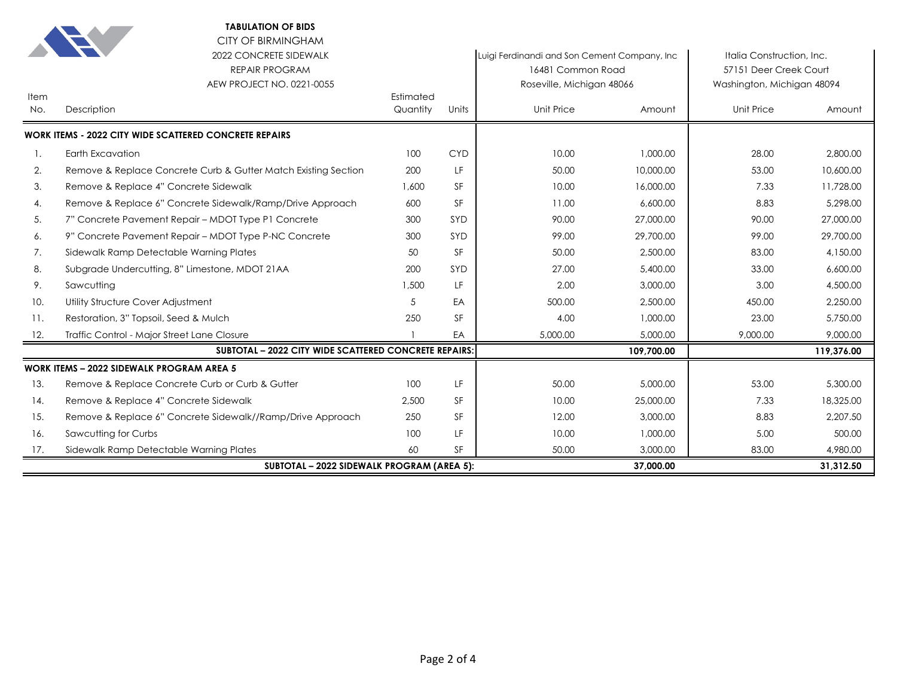|             | <b>TABULATION OF BIDS</b>                                                                                 |                       |            |                                                                                                |            |                                                                                   |            |
|-------------|-----------------------------------------------------------------------------------------------------------|-----------------------|------------|------------------------------------------------------------------------------------------------|------------|-----------------------------------------------------------------------------------|------------|
|             | <b>CITY OF BIRMINGHAM</b><br>2022 CONCRETE SIDEWALK<br><b>REPAIR PROGRAM</b><br>AEW PROJECT NO. 0221-0055 |                       |            | Luigi Ferdinandi and Son Cement Company, Inc<br>16481 Common Road<br>Roseville, Michigan 48066 |            | Italia Construction, Inc.<br>57151 Deer Creek Court<br>Washington, Michigan 48094 |            |
| Item<br>No. | Description                                                                                               | Estimated<br>Quantity | Units      | Unit Price                                                                                     | Amount     | Unit Price                                                                        | Amount     |
|             | <b>WORK ITEMS - 2022 CITY WIDE SCATTERED CONCRETE REPAIRS</b>                                             |                       |            |                                                                                                |            |                                                                                   |            |
| 1.          | Earth Excavation                                                                                          | 100                   | <b>CYD</b> | 10.00                                                                                          | 1,000.00   | 28.00                                                                             | 2,800.00   |
| 2.          | Remove & Replace Concrete Curb & Gutter Match Existing Section                                            | 200                   | LF         | 50.00                                                                                          | 10,000.00  | 53.00                                                                             | 10,600.00  |
| 3.          | Remove & Replace 4" Concrete Sidewalk                                                                     | 1,600                 | SF         | 10.00                                                                                          | 16,000.00  | 7.33                                                                              | 11,728.00  |
| 4.          | Remove & Replace 6" Concrete Sidewalk/Ramp/Drive Approach                                                 | 600                   | SF         | 11.00                                                                                          | 6,600.00   | 8.83                                                                              | 5,298.00   |
| 5.          | 7" Concrete Pavement Repair - MDOT Type P1 Concrete                                                       | 300                   | SYD        | 90.00                                                                                          | 27,000.00  | 90.00                                                                             | 27,000.00  |
| 6.          | 9" Concrete Pavement Repair – MDOT Type P-NC Concrete                                                     | 300                   | SYD        | 99.00                                                                                          | 29,700.00  | 99.00                                                                             | 29,700.00  |
| 7.          | Sidewalk Ramp Detectable Warning Plates                                                                   | 50                    | <b>SF</b>  | 50.00                                                                                          | 2,500.00   | 83.00                                                                             | 4,150.00   |
| 8.          | Subgrade Undercutting, 8" Limestone, MDOT 21AA                                                            | 200                   | SYD        | 27.00                                                                                          | 5,400.00   | 33.00                                                                             | 6,600.00   |
| 9.          | Sawcutting                                                                                                | 1,500                 | LF.        | 2.00                                                                                           | 3,000.00   | 3.00                                                                              | 4,500.00   |
| 10.         | Utility Structure Cover Adjustment                                                                        | 5                     | EA         | 500.00                                                                                         | 2,500.00   | 450.00                                                                            | 2.250.00   |
| 11.         | Restoration, 3" Topsoil, Seed & Mulch                                                                     | 250                   | SF         | 4.00                                                                                           | 1,000.00   | 23.00                                                                             | 5,750.00   |
| 12.         | Traffic Control - Major Street Lane Closure                                                               |                       | EA         | 5,000.00                                                                                       | 5,000.00   | 9,000.00                                                                          | 9,000.00   |
|             | <b>SUBTOTAL - 2022 CITY WIDE SCATTERED CONCRETE REPAIRS:</b>                                              |                       |            |                                                                                                | 109,700.00 |                                                                                   | 119,376.00 |
|             | <b>WORK ITEMS - 2022 SIDEWALK PROGRAM AREA 5</b>                                                          |                       |            |                                                                                                |            |                                                                                   |            |
| 13.         | Remove & Replace Concrete Curb or Curb & Gutter                                                           | 100                   | LF         | 50.00                                                                                          | 5,000.00   | 53.00                                                                             | 5,300.00   |
| 14.         | Remove & Replace 4" Concrete Sidewalk                                                                     | 2,500                 | <b>SF</b>  | 10.00                                                                                          | 25,000.00  | 7.33                                                                              | 18,325.00  |
| 15.         | Remove & Replace 6" Concrete Sidewalk//Ramp/Drive Approach                                                | 250                   | <b>SF</b>  | 12.00                                                                                          | 3,000.00   | 8.83                                                                              | 2,207.50   |
| 16.         | Sawcutting for Curbs                                                                                      | 100                   | LF         | 10.00                                                                                          | 1,000.00   | 5.00                                                                              | 500.00     |
| 17.         | Sidewalk Ramp Detectable Warning Plates                                                                   | 60                    | <b>SF</b>  | 50.00                                                                                          | 3,000.00   | 83.00                                                                             | 4,980.00   |
|             | <b>SUBTOTAL - 2022 SIDEWALK PROGRAM (AREA 5):</b>                                                         |                       |            |                                                                                                | 37,000.00  |                                                                                   | 31.312.50  |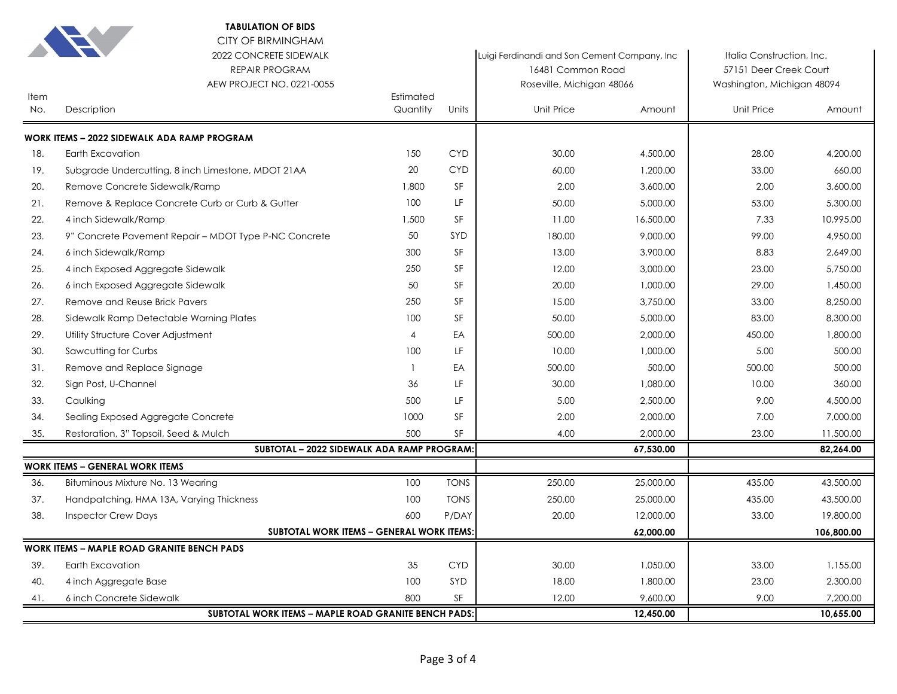|             | <b>TABULATION OF BIDS</b><br><b>CITY OF BIRMINGHAM</b><br>2022 CONCRETE SIDEWALK |                       |             | Luigi Ferdinandi and Son Cement Company, Inc. |           | Italia Construction, Inc.  |            |
|-------------|----------------------------------------------------------------------------------|-----------------------|-------------|-----------------------------------------------|-----------|----------------------------|------------|
|             | <b>REPAIR PROGRAM</b>                                                            |                       |             | 16481 Common Road                             |           | 57151 Deer Creek Court     |            |
|             | AEW PROJECT NO. 0221-0055                                                        |                       |             | Roseville, Michigan 48066                     |           | Washington, Michigan 48094 |            |
| Item<br>No. | Description                                                                      | Estimated<br>Quantity | Units       | Unit Price                                    | Amount    | Unit Price                 | Amount     |
|             | WORK ITEMS - 2022 SIDEWALK ADA RAMP PROGRAM                                      |                       |             |                                               |           |                            |            |
| 18.         | Earth Excavation                                                                 | 150                   | <b>CYD</b>  | 30.00                                         | 4,500.00  | 28.00                      | 4,200.00   |
| 19.         | Subgrade Undercutting, 8 inch Limestone, MDOT 21AA                               | 20                    | <b>CYD</b>  | 60.00                                         | 1,200.00  | 33.00                      | 660.00     |
| 20.         | Remove Concrete Sidewalk/Ramp                                                    | 1,800                 | SF          | 2.00                                          | 3,600.00  | 2.00                       | 3,600.00   |
| 21.         | Remove & Replace Concrete Curb or Curb & Gutter                                  | 100                   | LF          | 50.00                                         | 5,000.00  | 53.00                      | 5,300.00   |
| 22.         | 4 inch Sidewalk/Ramp                                                             | 1,500                 | SF          | 11.00                                         | 16,500.00 | 7.33                       | 10,995.00  |
| 23.         | 9" Concrete Pavement Repair - MDOT Type P-NC Concrete                            | 50                    | SYD         | 180.00                                        | 9,000.00  | 99.00                      | 4,950.00   |
| 24.         | 6 inch Sidewalk/Ramp                                                             | 300                   | SF          | 13.00                                         | 3,900.00  | 8.83                       | 2,649.00   |
| 25.         | 4 inch Exposed Aggregate Sidewalk                                                | 250                   | SF          | 12.00                                         | 3,000.00  | 23.00                      | 5,750.00   |
| 26.         | 6 inch Exposed Aggregate Sidewalk                                                | 50                    | <b>SF</b>   | 20.00                                         | 1,000.00  | 29.00                      | 1,450.00   |
| 27.         | Remove and Reuse Brick Pavers                                                    | 250                   | <b>SF</b>   | 15.00                                         | 3,750.00  | 33.00                      | 8,250.00   |
| 28.         | Sidewalk Ramp Detectable Warning Plates                                          | 100                   | <b>SF</b>   | 50.00                                         | 5,000.00  | 83.00                      | 8,300.00   |
| 29.         | Utility Structure Cover Adjustment                                               | 4                     | EA          | 500.00                                        | 2,000.00  | 450.00                     | 1,800.00   |
| 30.         | Sawcutting for Curbs                                                             | 100                   | LF          | 10.00                                         | 1,000.00  | 5.00                       | 500.00     |
| 31.         | Remove and Replace Signage                                                       | $\overline{1}$        | EA          | 500.00                                        | 500.00    | 500.00                     | 500.00     |
| 32.         | Sign Post, U-Channel                                                             | 36                    | LF          | 30.00                                         | 1,080.00  | 10.00                      | 360.00     |
| 33.         | Caulking                                                                         | 500                   | LF          | 5.00                                          | 2,500.00  | 9.00                       | 4,500.00   |
| 34.         | Sealing Exposed Aggregate Concrete                                               | 1000                  | SF          | 2.00                                          | 2,000.00  | 7.00                       | 7,000.00   |
| 35.         | Restoration, 3" Topsoil, Seed & Mulch                                            | 500                   | SF          | 4.00                                          | 2,000.00  | 23.00                      | 11,500.00  |
|             | SUBTOTAL - 2022 SIDEWALK ADA RAMP PROGRAM:                                       |                       |             |                                               | 67,530.00 |                            | 82,264.00  |
|             | <b>WORK ITEMS - GENERAL WORK ITEMS</b>                                           |                       |             |                                               |           |                            |            |
| 36.         | Bituminous Mixture No. 13 Wearing                                                | 100                   | <b>TONS</b> | 250.00                                        | 25,000.00 | 435.00                     | 43,500.00  |
| 37.         | Handpatching, HMA 13A, Varying Thickness                                         | 100                   | <b>TONS</b> | 250.00                                        | 25,000.00 | 435.00                     | 43,500.00  |
| 38.         | <b>Inspector Crew Days</b>                                                       | 600                   | P/DAY       | 20.00                                         | 12,000.00 | 33.00                      | 19,800.00  |
|             | SUBTOTAL WORK ITEMS - GENERAL WORK ITEMS                                         |                       |             |                                               | 62,000.00 |                            | 106,800.00 |
|             | <b>WORK ITEMS - MAPLE ROAD GRANITE BENCH PADS</b>                                |                       |             |                                               |           |                            |            |
| 39.         | Earth Excavation                                                                 | 35                    | <b>CYD</b>  | 30.00                                         | 1,050.00  | 33.00                      | 1,155.00   |
| 40.         | 4 inch Aggregate Base                                                            | 100                   | SYD         | 18.00                                         | 1,800.00  | 23.00                      | 2,300.00   |
| 41.         | 6 inch Concrete Sidewalk                                                         | 800                   | SF          | 12.00                                         | 9,600.00  | 9.00                       | 7,200.00   |
|             | SUBTOTAL WORK ITEMS - MAPLE ROAD GRANITE BENCH PADS:                             |                       |             |                                               | 12,450.00 |                            | 10,655.00  |

**TABULATION OF BIDS**